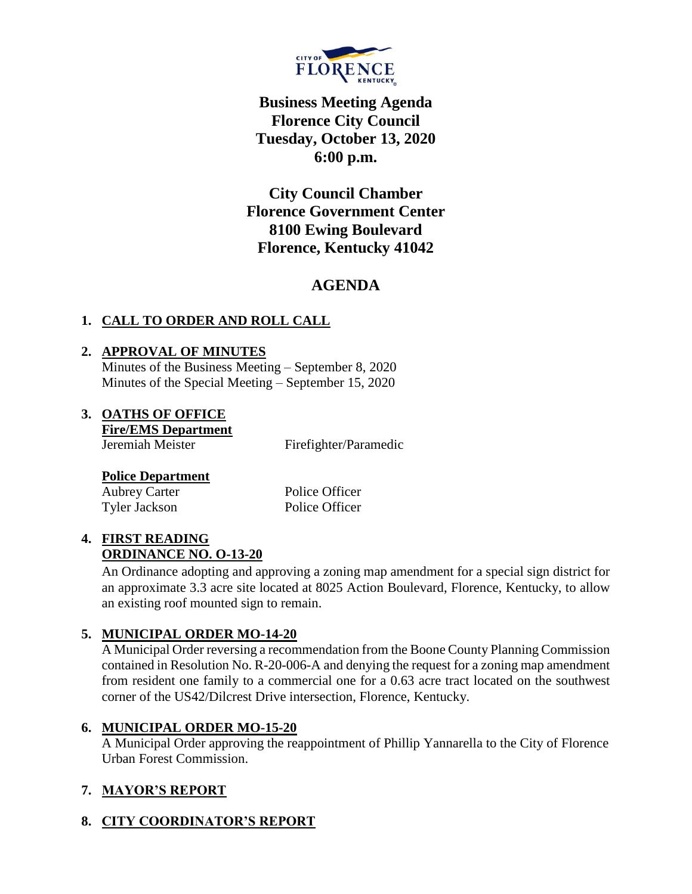

# **Business Meeting Agenda Florence City Council Tuesday, October 13, 2020 6:00 p.m.**

**City Council Chamber Florence Government Center 8100 Ewing Boulevard Florence, Kentucky 41042**

# **AGENDA**

## **1. CALL TO ORDER AND ROLL CALL**

#### **2. APPROVAL OF MINUTES**

Minutes of the Business Meeting – September 8, 2020 Minutes of the Special Meeting – September 15, 2020

### **3. OATHS OF OFFICE**

**Fire/EMS Department** Jeremiah Meister Firefighter/Paramedic

#### **Police Department**

Aubrey Carter Police Officer Tyler Jackson Police Officer

#### **4. FIRST READING ORDINANCE NO. O-13-20**

An Ordinance adopting and approving a zoning map amendment for a special sign district for an approximate 3.3 acre site located at 8025 Action Boulevard, Florence, Kentucky, to allow an existing roof mounted sign to remain.

### **5. MUNICIPAL ORDER MO-14-20**

A Municipal Order reversing a recommendation from the Boone County Planning Commission contained in Resolution No. R-20-006-A and denying the request for a zoning map amendment from resident one family to a commercial one for a 0.63 acre tract located on the southwest corner of the US42/Dilcrest Drive intersection, Florence, Kentucky.

### **6. MUNICIPAL ORDER MO-15-20**

A Municipal Order approving the reappointment of Phillip Yannarella to the City of Florence Urban Forest Commission.

## **7. MAYOR'S REPORT**

### **8. CITY COORDINATOR'S REPORT**